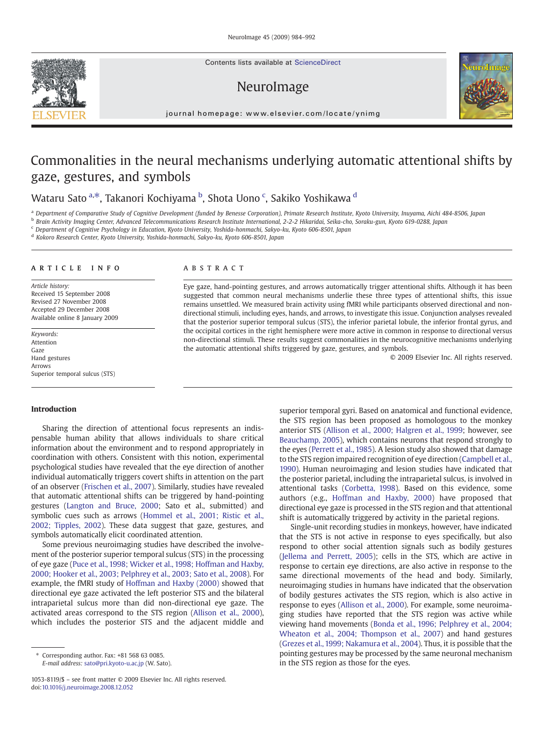Contents lists available at ScienceDirect

# NeuroImage



journal homepage: www.elsevier.com/locate/ynimg

## Commonalities in the neural mechanisms underlying automatic attentional shifts by gaze, gestures, and symbols

### Wataru Sato <sup>a, $\ast$ </sup>, Takanori Kochiyama <sup>b</sup>, Shota Uono <sup>c</sup>, Sakiko Yoshikawa <sup>d</sup>

a Department of Comparative Study of Cognitive Development (funded by Benesse Corporation), Primate Research Institute, Kyoto University, Inuyama, Aichi 484-8506, Japan

b Brain Activity Imaging Center, Advanced Telecommunications Research Institute International, 2-2-2 Hikaridai, Seika-cho, Soraku-gun, Kyoto 619-0288, Japan

<sup>c</sup> Department of Cognitive Psychology in Education, Kyoto University, Yoshida-honmachi, Sakyo-ku, Kyoto 606-8501, Japan

<sup>d</sup> Kokoro Research Center, Kyoto University, Yoshida-honmachi, Sakyo-ku, Kyoto 606-8501, Japan

#### article info abstract

Article history: Received 15 September 2008 Revised 27 November 2008 Accepted 29 December 2008 Available online 8 January 2009

Keywords: Attention Gaze Hand gestures Arrows Superior temporal sulcus (STS)

Eye gaze, hand-pointing gestures, and arrows automatically trigger attentional shifts. Although it has been suggested that common neural mechanisms underlie these three types of attentional shifts, this issue remains unsettled. We measured brain activity using fMRI while participants observed directional and nondirectional stimuli, including eyes, hands, and arrows, to investigate this issue. Conjunction analyses revealed that the posterior superior temporal sulcus (STS), the inferior parietal lobule, the inferior frontal gyrus, and the occipital cortices in the right hemisphere were more active in common in response to directional versus non-directional stimuli. These results suggest commonalities in the neurocognitive mechanisms underlying the automatic attentional shifts triggered by gaze, gestures, and symbols.

© 2009 Elsevier Inc. All rights reserved.

#### Introduction

Sharing the direction of attentional focus represents an indispensable human ability that allows individuals to share critical information about the environment and to respond appropriately in coordination with others. Consistent with this notion, experimental psychological studies have revealed that the eye direction of another individual automatically triggers covert shifts in attention on the part of an observer ([Frischen et al., 2007\)](#page-7-0). Similarly, studies have revealed that automatic attentional shifts can be triggered by hand-pointing gestures ([Langton and Bruce, 2000;](#page-8-0) Sato et al., submitted) and symbolic cues such as arrows ([Hommel et al., 2001; Ristic et al.,](#page-8-0) [2002; Tipples, 2002](#page-8-0)). These data suggest that gaze, gestures, and symbols automatically elicit coordinated attention.

Some previous neuroimaging studies have described the involvement of the posterior superior temporal sulcus (STS) in the processing of eye gaze [\(Puce et al., 1998; Wicker et al., 1998; Hoffman and Haxby,](#page-8-0) [2000; Hooker et al., 2003; Pelphrey et al., 2003; Sato et al., 2008](#page-8-0)). For example, the fMRI study of [Hoffman and Haxby \(2000\)](#page-8-0) showed that directional eye gaze activated the left posterior STS and the bilateral intraparietal sulcus more than did non-directional eye gaze. The activated areas correspond to the STS region ([Allison et al., 2000](#page-7-0)), which includes the posterior STS and the adjacent middle and superior temporal gyri. Based on anatomical and functional evidence, the STS region has been proposed as homologous to the monkey anterior STS [\(Allison et al., 2000; Halgren et al., 1999](#page-7-0); however, see [Beauchamp, 2005\)](#page-7-0), which contains neurons that respond strongly to the eyes [\(Perrett et al., 1985](#page-8-0)). A lesion study also showed that damage to the STS region impaired recognition of eye direction ([Campbell et al.,](#page-7-0) [1990](#page-7-0)). Human neuroimaging and lesion studies have indicated that the posterior parietal, including the intraparietal sulcus, is involved in attentional tasks [\(Corbetta, 1998\)](#page-7-0). Based on this evidence, some authors (e.g., [Hoffman and Haxby, 2000](#page-8-0)) have proposed that directional eye gaze is processed in the STS region and that attentional shift is automatically triggered by activity in the parietal regions.

Single-unit recording studies in monkeys, however, have indicated that the STS is not active in response to eyes specifically, but also respond to other social attention signals such as bodily gestures ([Jellema and Perrett, 2005](#page-8-0)); cells in the STS, which are active in response to certain eye directions, are also active in response to the same directional movements of the head and body. Similarly, neuroimaging studies in humans have indicated that the observation of bodily gestures activates the STS region, which is also active in response to eyes ([Allison et al., 2000](#page-7-0)). For example, some neuroimaging studies have reported that the STS region was active while viewing hand movements [\(Bonda et al., 1996; Pelphrey et al., 2004;](#page-7-0) [Wheaton et al., 2004; Thompson et al., 2007\)](#page-7-0) and hand gestures ([Grezes et al., 1999; Nakamura et al., 2004](#page-8-0)). Thus, it is possible that the pointing gestures may be processed by the same neuronal mechanism in the STS region as those for the eyes.



<sup>⁎</sup> Corresponding author. Fax: +81 568 63 0085. E-mail address: [sato@pri.kyoto-u.ac.jp](mailto:sato@pri.kyoto-u.ac.jp) (W. Sato).

<sup>1053-8119/\$</sup> – see front matter © 2009 Elsevier Inc. All rights reserved. doi[:10.1016/j.neuroimage.2008.12.052](http://dx.doi.org/10.1016/j.neuroimage.2008.12.052)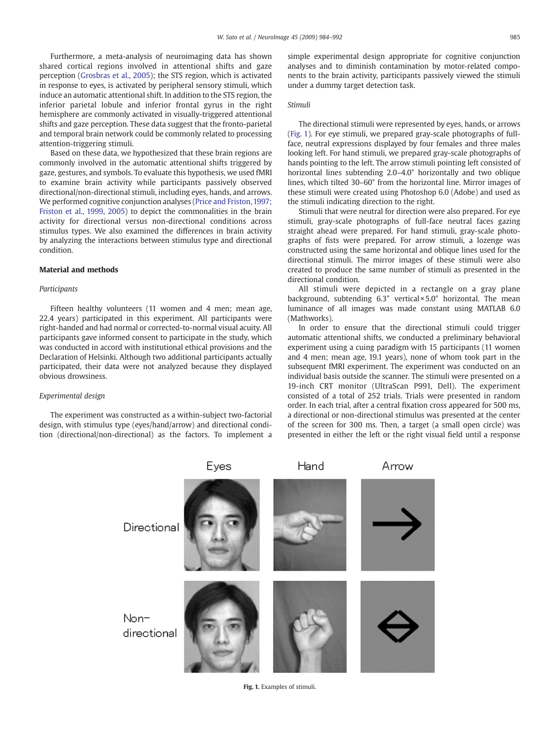Furthermore, a meta-analysis of neuroimaging data has shown shared cortical regions involved in attentional shifts and gaze perception ([Grosbras et al., 2005](#page-8-0)); the STS region, which is activated in response to eyes, is activated by peripheral sensory stimuli, which induce an automatic attentional shift. In addition to the STS region, the inferior parietal lobule and inferior frontal gyrus in the right hemisphere are commonly activated in visually-triggered attentional shifts and gaze perception. These data suggest that the fronto-parietal and temporal brain network could be commonly related to processing attention-triggering stimuli.

Based on these data, we hypothesized that these brain regions are commonly involved in the automatic attentional shifts triggered by gaze, gestures, and symbols. To evaluate this hypothesis, we used fMRI to examine brain activity while participants passively observed directional/non-directional stimuli, including eyes, hands, and arrows. We performed cognitive conjunction analyses ([Price and Friston, 1997;](#page-8-0) [Friston et al., 1999, 2005\)](#page-8-0) to depict the commonalities in the brain activity for directional versus non-directional conditions across stimulus types. We also examined the differences in brain activity by analyzing the interactions between stimulus type and directional condition.

#### Material and methods

#### Participants

Fifteen healthy volunteers (11 women and 4 men; mean age, 22.4 years) participated in this experiment. All participants were right-handed and had normal or corrected-to-normal visual acuity. All participants gave informed consent to participate in the study, which was conducted in accord with institutional ethical provisions and the Declaration of Helsinki. Although two additional participants actually participated, their data were not analyzed because they displayed obvious drowsiness.

#### Experimental design

The experiment was constructed as a within-subject two-factorial design, with stimulus type (eyes/hand/arrow) and directional condition (directional/non-directional) as the factors. To implement a simple experimental design appropriate for cognitive conjunction analyses and to diminish contamination by motor-related components to the brain activity, participants passively viewed the stimuli under a dummy target detection task.

#### Stimuli

The directional stimuli were represented by eyes, hands, or arrows (Fig. 1). For eye stimuli, we prepared gray-scale photographs of fullface, neutral expressions displayed by four females and three males looking left. For hand stimuli, we prepared gray-scale photographs of hands pointing to the left. The arrow stimuli pointing left consisted of horizontal lines subtending 2.0–4.0° horizontally and two oblique lines, which tilted 30–60° from the horizontal line. Mirror images of these stimuli were created using Photoshop 6.0 (Adobe) and used as the stimuli indicating direction to the right.

Stimuli that were neutral for direction were also prepared. For eye stimuli, gray-scale photographs of full-face neutral faces gazing straight ahead were prepared. For hand stimuli, gray-scale photographs of fists were prepared. For arrow stimuli, a lozenge was constructed using the same horizontal and oblique lines used for the directional stimuli. The mirror images of these stimuli were also created to produce the same number of stimuli as presented in the directional condition.

All stimuli were depicted in a rectangle on a gray plane background, subtending 6.3° vertical × 5.0° horizontal. The mean luminance of all images was made constant using MATLAB 6.0 (Mathworks).

In order to ensure that the directional stimuli could trigger automatic attentional shifts, we conducted a preliminary behavioral experiment using a cuing paradigm with 15 participants (11 women and 4 men; mean age, 19.1 years), none of whom took part in the subsequent fMRI experiment. The experiment was conducted on an individual basis outside the scanner. The stimuli were presented on a 19-inch CRT monitor (UltraScan P991, Dell). The experiment consisted of a total of 252 trials. Trials were presented in random order. In each trial, after a central fixation cross appeared for 500 ms, a directional or non-directional stimulus was presented at the center of the screen for 300 ms. Then, a target (a small open circle) was presented in either the left or the right visual field until a response



Fig. 1. Examples of stimuli.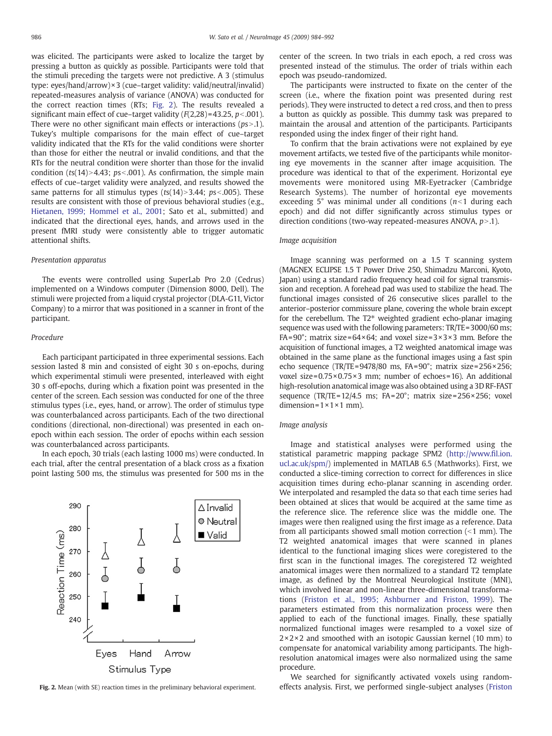was elicited. The participants were asked to localize the target by pressing a button as quickly as possible. Participants were told that the stimuli preceding the targets were not predictive. A 3 (stimulus type: eyes/hand/arrow) × 3 (cue–target validity: valid/neutral/invalid) repeated-measures analysis of variance (ANOVA) was conducted for the correct reaction times (RTs; Fig. 2). The results revealed a significant main effect of cue-target validity  $(F(2,28) = 43.25, p < .001)$ . There were no other significant main effects or interactions  $(ps > .1)$ . Tukey's multiple comparisons for the main effect of cue–target validity indicated that the RTs for the valid conditions were shorter than those for either the neutral or invalid conditions, and that the RTs for the neutral condition were shorter than those for the invalid condition ( $ts(14) > 4.43$ ;  $ps < .001$ ). As confirmation, the simple main effects of cue–target validity were analyzed, and results showed the same patterns for all stimulus types ( $ts(14) > 3.44$ ;  $ps < .005$ ). These results are consistent with those of previous behavioral studies (e.g., [Hietanen, 1999; Hommel et al., 2001;](#page-8-0) Sato et al., submitted) and indicated that the directional eyes, hands, and arrows used in the present fMRI study were consistently able to trigger automatic attentional shifts.

#### Presentation apparatus

The events were controlled using SuperLab Pro 2.0 (Cedrus) implemented on a Windows computer (Dimension 8000, Dell). The stimuli were projected from a liquid crystal projector (DLA-G11, Victor Company) to a mirror that was positioned in a scanner in front of the participant.

#### Procedure

Each participant participated in three experimental sessions. Each session lasted 8 min and consisted of eight 30 s on-epochs, during which experimental stimuli were presented, interleaved with eight 30 s off-epochs, during which a fixation point was presented in the center of the screen. Each session was conducted for one of the three stimulus types (i.e., eyes, hand, or arrow). The order of stimulus type was counterbalanced across participants. Each of the two directional conditions (directional, non-directional) was presented in each onepoch within each session. The order of epochs within each session was counterbalanced across participants.

In each epoch, 30 trials (each lasting 1000 ms) were conducted. In each trial, after the central presentation of a black cross as a fixation point lasting 500 ms, the stimulus was presented for 500 ms in the



center of the screen. In two trials in each epoch, a red cross was presented instead of the stimulus. The order of trials within each epoch was pseudo-randomized.

The participants were instructed to fixate on the center of the screen (i.e., where the fixation point was presented during rest periods). They were instructed to detect a red cross, and then to press a button as quickly as possible. This dummy task was prepared to maintain the arousal and attention of the participants. Participants responded using the index finger of their right hand.

To confirm that the brain activations were not explained by eye movement artifacts, we tested five of the participants while monitoring eye movements in the scanner after image acquisition. The procedure was identical to that of the experiment. Horizontal eye movements were monitored using MR-Eyetracker (Cambridge Research Systems). The number of horizontal eye movements exceeding  $5^\circ$  was minimal under all conditions ( $n<1$  during each epoch) and did not differ significantly across stimulus types or direction conditions (two-way repeated-measures ANOVA,  $p>1$ ).

#### Image acquisition

Image scanning was performed on a 1.5 T scanning system (MAGNEX ECLIPSE 1.5 T Power Drive 250, Shimadzu Marconi, Kyoto, Japan) using a standard radio frequency head coil for signal transmission and reception. A forehead pad was used to stabilize the head. The functional images consisted of 26 consecutive slices parallel to the anterior–posterior commissure plane, covering the whole brain except for the cerebellum. The  $T2*$  weighted gradient echo-planar imaging sequence was used with the following parameters: TR/TE=3000/60 ms; FA=90°; matrix size=64×64; and voxel size=3×3×3 mm. Before the acquisition of functional images, a T2 weighted anatomical image was obtained in the same plane as the functional images using a fast spin echo sequence (TR/TE=9478/80 ms, FA=90°; matrix size=256×256; voxel size=0.75 $\times$ 0.75 $\times$ 3 mm; number of echoes=16). An additional high-resolution anatomical image was also obtained using a 3D RF-FAST sequence (TR/TE=12/4.5 ms; FA=20°; matrix size=256×256; voxel  $dimension = 1 \times 1 \times 1$  mm).

#### Image analysis

Image and statistical analyses were performed using the statistical parametric mapping package SPM2 ([http://www.](http://www.fil.ion.ucl.ac.uk/spm/)fil.ion. [ucl.ac.uk/spm/\)](http://www.fil.ion.ucl.ac.uk/spm/) implemented in MATLAB 6.5 (Mathworks). First, we conducted a slice-timing correction to correct for differences in slice acquisition times during echo-planar scanning in ascending order. We interpolated and resampled the data so that each time series had been obtained at slices that would be acquired at the same time as the reference slice. The reference slice was the middle one. The images were then realigned using the first image as a reference. Data from all participants showed small motion correction  $(1 mm)$ . The T2 weighted anatomical images that were scanned in planes identical to the functional imaging slices were coregistered to the first scan in the functional images. The coregistered T2 weighted anatomical images were then normalized to a standard T2 template image, as defined by the Montreal Neurological Institute (MNI), which involved linear and non-linear three-dimensional transformations ([Friston et al., 1995; Ashburner and Friston, 1999\)](#page-7-0). The parameters estimated from this normalization process were then applied to each of the functional images. Finally, these spatially normalized functional images were resampled to a voxel size of  $2 \times 2 \times 2$  and smoothed with an isotopic Gaussian kernel (10 mm) to compensate for anatomical variability among participants. The highresolution anatomical images were also normalized using the same procedure.

We searched for significantly activated voxels using random-Fig. 2. Mean (with SE) reaction times in the preliminary behavioral experiment. effects analysis. First, we performed single-subject analyses ([Friston](#page-7-0)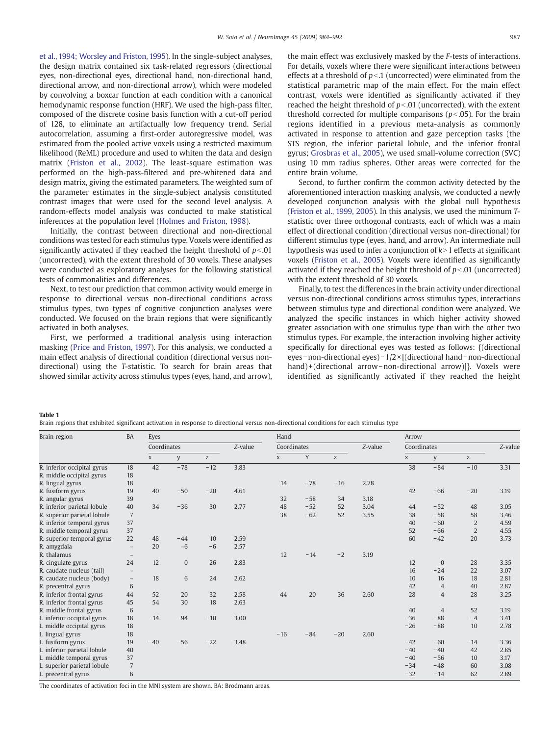<span id="page-3-0"></span>[et al., 1994; Worsley and Friston, 1995\)](#page-7-0). In the single-subject analyses, the design matrix contained six task-related regressors (directional eyes, non-directional eyes, directional hand, non-directional hand, directional arrow, and non-directional arrow), which were modeled by convolving a boxcar function at each condition with a canonical hemodynamic response function (HRF). We used the high-pass filter, composed of the discrete cosine basis function with a cut-off period of 128, to eliminate an artifactually low frequency trend. Serial autocorrelation, assuming a first-order autoregressive model, was estimated from the pooled active voxels using a restricted maximum likelihood (ReML) procedure and used to whiten the data and design matrix ([Friston et al., 2002](#page-8-0)). The least-square estimation was performed on the high-pass-filtered and pre-whitened data and design matrix, giving the estimated parameters. The weighted sum of the parameter estimates in the single-subject analysis constituted contrast images that were used for the second level analysis. A random-effects model analysis was conducted to make statistical inferences at the population level [\(Holmes and Friston, 1998](#page-8-0)).

Initially, the contrast between directional and non-directional conditions was tested for each stimulus type. Voxels were identified as significantly activated if they reached the height threshold of  $p<0.01$ (uncorrected), with the extent threshold of 30 voxels. These analyses were conducted as exploratory analyses for the following statistical tests of commonalities and differences.

Next, to test our prediction that common activity would emerge in response to directional versus non-directional conditions across stimulus types, two types of cognitive conjunction analyses were conducted. We focused on the brain regions that were significantly activated in both analyses.

First, we performed a traditional analysis using interaction masking ([Price and Friston, 1997\)](#page-8-0). For this analysis, we conducted a main effect analysis of directional condition (directional versus nondirectional) using the T-statistic. To search for brain areas that showed similar activity across stimulus types (eyes, hand, and arrow), the main effect was exclusively masked by the F-tests of interactions. For details, voxels where there were significant interactions between effects at a threshold of  $p<.1$  (uncorrected) were eliminated from the statistical parametric map of the main effect. For the main effect contrast, voxels were identified as significantly activated if they reached the height threshold of  $p<0.01$  (uncorrected), with the extent threshold corrected for multiple comparisons ( $p$ <.05). For the brain regions identified in a previous meta-analysis as commonly activated in response to attention and gaze perception tasks (the STS region, the inferior parietal lobule, and the inferior frontal gyrus; [Grosbras et al., 2005](#page-8-0)), we used small-volume correction (SVC) using 10 mm radius spheres. Other areas were corrected for the entire brain volume.

Second, to further confirm the common activity detected by the aforementioned interaction masking analysis, we conducted a newly developed conjunction analysis with the global null hypothesis [\(Friston et al., 1999, 2005\)](#page-7-0). In this analysis, we used the minimum Tstatistic over three orthogonal contrasts, each of which was a main effect of directional condition (directional versus non-directional) for different stimulus type (eyes, hand, and arrow). An intermediate null hypothesis was used to infer a conjunction of  $k>1$  effects at significant voxels ([Friston et al., 2005\)](#page-8-0). Voxels were identified as significantly activated if they reached the height threshold of  $p<.01$  (uncorrected) with the extent threshold of 30 voxels.

Finally, to test the differences in the brain activity under directional versus non-directional conditions across stimulus types, interactions between stimulus type and directional condition were analyzed. We analyzed the specific instances in which higher activity showed greater association with one stimulus type than with the other two stimulus types. For example, the interaction involving higher activity specifically for directional eyes was tested as follows: {(directional eyes−non-directional eyes)−1/2 × [(directional hand−non-directional hand) + (directional arrow-non-directional arrow)]}. Voxels were identified as significantly activated if they reached the height

#### Table 1

Brain regions that exhibited significant activation in response to directional versus non-directional conditions for each stimulus type

| Brain region                | <b>BA</b>                | Eyes         |                |             |         | Hand         |       |             |         | Arrow        |                |                |         |
|-----------------------------|--------------------------|--------------|----------------|-------------|---------|--------------|-------|-------------|---------|--------------|----------------|----------------|---------|
|                             |                          | Coordinates  |                |             | Z-value | Coordinates  |       |             | Z-value | Coordinates  |                |                | Z-value |
|                             |                          | $\mathbf{x}$ | y              | $\mathsf Z$ |         | $\mathbf{x}$ | Y     | $\mathsf Z$ |         | $\mathbf{X}$ | y              | Z              |         |
| R. inferior occipital gyrus | 18                       | 42           | $-78$          | $-12$       | 3.83    |              |       |             |         | 38           | $-84$          | $-10$          | 3.31    |
| R. middle occipital gyrus   | 18                       |              |                |             |         |              |       |             |         |              |                |                |         |
| R. lingual gyrus            | 18                       |              |                |             |         | 14           | $-78$ | $-16$       | 2.78    |              |                |                |         |
| R. fusiform gyrus           | 19                       | 40           | $-50$          | $-20$       | 4.61    |              |       |             |         | 42           | $-66$          | $-20$          | 3.19    |
| R. angular gyrus            | 39                       |              |                |             |         | 32           | $-58$ | 34          | 3.18    |              |                |                |         |
| R. inferior parietal lobule | 40                       | 34           | $-36$          | 30          | 2.77    | 48           | $-52$ | 52          | 3.04    | 44           | $-52$          | 48             | 3.05    |
| R. superior parietal lobule | $7\overline{ }$          |              |                |             |         | 38           | $-62$ | 52          | 3.55    | 38           | $-58$          | 58             | 3.46    |
| R. inferior temporal gyrus  | 37                       |              |                |             |         |              |       |             |         | 40           | $-60$          | $\overline{2}$ | 4.59    |
| R. middle temporal gyrus    | 37                       |              |                |             |         |              |       |             |         | 52           | $-66$          | 2              | 4.55    |
| R. superior temporal gyrus  | 22                       | 48           | $-44$          | 10          | 2.59    |              |       |             |         | 60           | $-42$          | 20             | 3.73    |
| R. amygdala                 | $-$                      | 20           | $-6$           | $-6$        | 2.57    |              |       |             |         |              |                |                |         |
| R. thalamus                 | $\qquad \qquad -$        |              |                |             |         | 12           | $-14$ | $-2$        | 3.19    |              |                |                |         |
| R. cingulate gyrus          | 24                       | 12           | $\overline{0}$ | 26          | 2.83    |              |       |             |         | 12           | $\mathbf{0}$   | 28             | 3.35    |
| R. caudate nucleus (tail)   | $\qquad \qquad -$        |              |                |             |         |              |       |             |         | 16           | $-24$          | 22             | 3.07    |
| R. caudate nucleus (body)   | $\overline{\phantom{a}}$ | 18           | 6              | 24          | 2.62    |              |       |             |         | 10           | 16             | 18             | 2.81    |
| R. precentral gyrus         | 6                        |              |                |             |         |              |       |             |         | 42           | $\overline{4}$ | 40             | 2.87    |
| R. inferior frontal gyrus   | 44                       | 52           | 20             | 32          | 2.58    | 44           | 20    | 36          | 2.60    | 28           | $\overline{4}$ | 28             | 3.25    |
| R. inferior frontal gyrus   | 45                       | 54           | 30             | 18          | 2.63    |              |       |             |         |              |                |                |         |
| R. middle frontal gyrus     | 6                        |              |                |             |         |              |       |             |         | 40           | $\overline{4}$ | 52             | 3.19    |
| L. inferior occipital gyrus | 18                       | $-14$        | $-94$          | $-10$       | 3.00    |              |       |             |         | $-36$        | $-88$          | $-4$           | 3.41    |
| L. middle occipital gyrus   | 18                       |              |                |             |         |              |       |             |         | $-26$        | $-88$          | 10             | 2.78    |
| L. lingual gyrus            | 18                       |              |                |             |         | $-16$        | $-84$ | $-20$       | 2.60    |              |                |                |         |
| L. fusiform gyrus           | 19                       | $-40$        | $-56$          | $-22$       | 3.48    |              |       |             |         | $-42$        | $-60$          | $-14$          | 3.36    |
| L. inferior parietal lobule | 40                       |              |                |             |         |              |       |             |         | $-40$        | $-40$          | 42             | 2.85    |
| L. middle temporal gyrus    | 37                       |              |                |             |         |              |       |             |         | $-40$        | $-56$          | 10             | 3.17    |
| L. superior parietal lobule | $\overline{7}$           |              |                |             |         |              |       |             |         | $-34$        | $-48$          | 60             | 3.08    |
| L. precentral gyrus         | 6                        |              |                |             |         |              |       |             |         | $-32$        | $-14$          | 62             | 2.89    |

The coordinates of activation foci in the MNI system are shown. BA: Brodmann areas.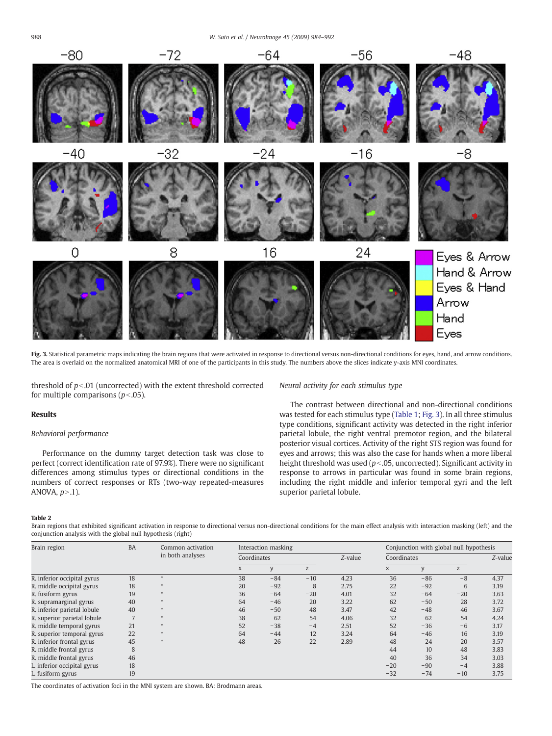<span id="page-4-0"></span>

Fig. 3. Statistical parametric maps indicating the brain regions that were activated in response to directional versus non-directional conditions for eyes, hand, and arrow conditions. The area is overlaid on the normalized anatomical MRI of one of the participants in this study. The numbers above the slices indicate y-axis MNI coordinates.

threshold of  $p<.01$  (uncorrected) with the extent threshold corrected for multiple comparisons ( $p$ <.05).

#### Results

#### Behavioral performance

Performance on the dummy target detection task was close to perfect (correct identification rate of 97.9%). There were no significant differences among stimulus types or directional conditions in the numbers of correct responses or RTs (two-way repeated-measures ANOVA,  $p > 0.1$ ).

#### Neural activity for each stimulus type

The contrast between directional and non-directional conditions was tested for each stimulus type ([Table 1](#page-3-0); Fig. 3). In all three stimulus type conditions, significant activity was detected in the right inferior parietal lobule, the right ventral premotor region, and the bilateral posterior visual cortices. Activity of the right STS region was found for eyes and arrows; this was also the case for hands when a more liberal height threshold was used ( $p<0.05$ , uncorrected). Significant activity in response to arrows in particular was found in some brain regions, including the right middle and inferior temporal gyri and the left superior parietal lobule.

#### Table 2

Brain regions that exhibited significant activation in response to directional versus non-directional conditions for the main effect analysis with interaction masking (left) and the conjunction analysis with the global null hypothesis (right)

| Brain region                | <b>BA</b> | Common activation<br>in both analyses |             | Interaction masking |       |         | Conjunction with global null hypothesis |             |       |      |
|-----------------------------|-----------|---------------------------------------|-------------|---------------------|-------|---------|-----------------------------------------|-------------|-------|------|
|                             |           |                                       | Coordinates |                     |       | Z-value |                                         | Coordinates |       |      |
|                             |           |                                       | X           |                     | Z     |         | X                                       |             | Z     |      |
| R. inferior occipital gyrus | 18        | $*$                                   | 38          | $-84$               | $-10$ | 4.23    | 36                                      | $-86$       | $-8$  | 4.37 |
| R. middle occipital gyrus   | 18        | $\ast$                                | 20          | $-92$               | 8     | 2.75    | 22                                      | $-92$       | 6     | 3.19 |
| R. fusiform gyrus           | 19        | $\ast$                                | 36          | $-64$               | $-20$ | 4.01    | 32                                      | $-64$       | $-20$ | 3.63 |
| R. supramarginal gyrus      | 40        | $\ast$                                | 64          | $-46$               | 20    | 3.22    | 62                                      | $-50$       | 28    | 3.72 |
| R. inferior parietal lobule | 40        | $\ast$                                | 46          | $-50$               | 48    | 3.47    | 42                                      | $-48$       | 46    | 3.67 |
| R. superior parietal lobule |           | $\ast$                                | 38          | $-62$               | 54    | 4.06    | 32                                      | $-62$       | 54    | 4.24 |
| R. middle temporal gyrus    | 21        | $\ast$                                | 52          | $-38$               | $-4$  | 2.51    | 52                                      | $-36$       | $-6$  | 3.17 |
| R. superior temporal gyrus  | 22        | $\ast$                                | 64          | $-44$               | 12    | 3.24    | 64                                      | $-46$       | 16    | 3.19 |
| R, inferior frontal gyrus   | 45        | $\ast$                                | 48          | 26                  | 22    | 2.89    | 48                                      | 24          | 20    | 3.57 |
| R. middle frontal gyrus     | 8         |                                       |             |                     |       |         | 44                                      | 10          | 48    | 3.83 |
| R. middle frontal gyrus     | 46        |                                       |             |                     |       |         | 40                                      | 36          | 34    | 3.03 |
| L. inferior occipital gyrus | 18        |                                       |             |                     |       |         | $-20$                                   | $-90$       | $-4$  | 3.88 |
| L. fusiform gyrus           | 19        |                                       |             |                     |       |         | $-32$                                   | $-74$       | $-10$ | 3.75 |

The coordinates of activation foci in the MNI system are shown. BA: Brodmann areas.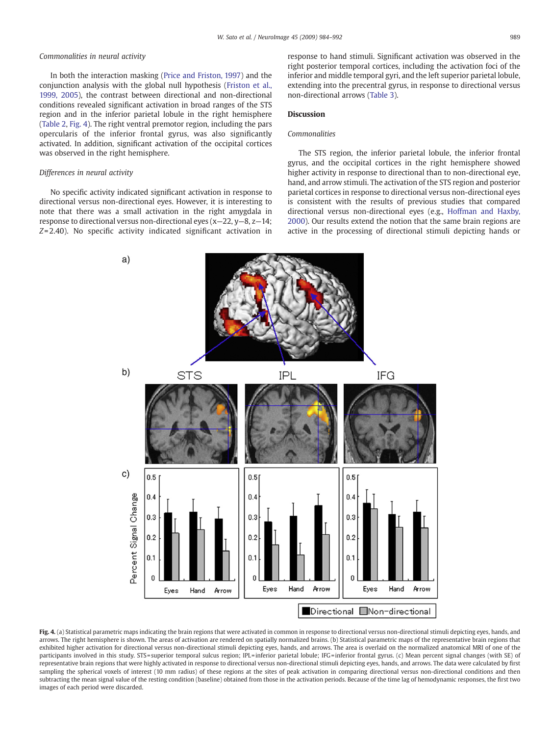### Commonalities in neural activity

In both the interaction masking ([Price and Friston, 1997\)](#page-8-0) and the conjunction analysis with the global null hypothesis ([Friston et al.,](#page-7-0) [1999, 2005](#page-7-0)), the contrast between directional and non-directional conditions revealed significant activation in broad ranges of the STS region and in the inferior parietal lobule in the right hemisphere [\(Table 2](#page-4-0), Fig. 4). The right ventral premotor region, including the pars opercularis of the inferior frontal gyrus, was also significantly activated. In addition, significant activation of the occipital cortices was observed in the right hemisphere.

#### Differences in neural activity

No specific activity indicated significant activation in response to directional versus non-directional eyes. However, it is interesting to note that there was a small activation in the right amygdala in response to directional versus non-directional eyes (x—22, y—8, z—14; Z= 2.40). No specific activity indicated significant activation in response to hand stimuli. Significant activation was observed in the right posterior temporal cortices, including the activation foci of the inferior and middle temporal gyri, and the left superior parietal lobule, extending into the precentral gyrus, in response to directional versus non-directional arrows [\(Table 3](#page-6-0)).

#### **Discussion**

#### Commonalities

The STS region, the inferior parietal lobule, the inferior frontal gyrus, and the occipital cortices in the right hemisphere showed higher activity in response to directional than to non-directional eye, hand, and arrow stimuli. The activation of the STS region and posterior parietal cortices in response to directional versus non-directional eyes is consistent with the results of previous studies that compared directional versus non-directional eyes (e.g., [Hoffman and Haxby,](#page-8-0) [2000](#page-8-0)). Our results extend the notion that the same brain regions are active in the processing of directional stimuli depicting hands or



Fig. 4. (a) Statistical parametric maps indicating the brain regions that were activated in common in response to directional versus non-directional stimuli depicting eyes, hands, and arrows. The right hemisphere is shown. The areas of activation are rendered on spatially normalized brains. (b) Statistical parametric maps of the representative brain regions that exhibited higher activation for directional versus non-directional stimuli depicting eyes, hands, and arrows. The area is overlaid on the normalized anatomical MRI of one of the participants involved in this study. STS=superior temporal sulcus region; IPL=inferior parietal lobule; IFG=inferior frontal gyrus. (c) Mean percent signal changes (with SE) of representative brain regions that were highly activated in response to directional versus non-directional stimuli depicting eyes, hands, and arrows. The data were calculated by first sampling the spherical voxels of interest (10 mm radius) of these regions at the sites of peak activation in comparing directional versus non-directional conditions and then subtracting the mean signal value of the resting condition (baseline) obtained from those in the activation periods. Because of the time lag of hemodynamic responses, the first two images of each period were discarded.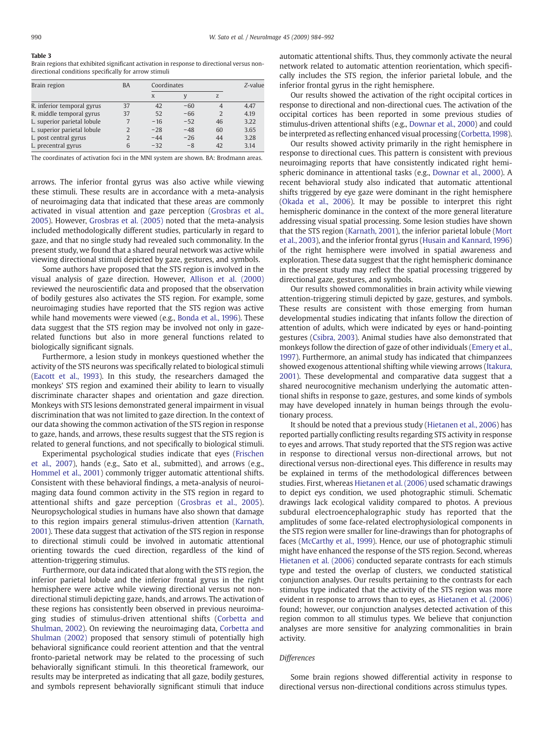### <span id="page-6-0"></span>Table 3

Brain regions that exhibited significant activation in response to directional versus nondirectional conditions specifically for arrow stimuli

| Brain region                | <b>BA</b>      | Coordinates |       | Z-value |      |
|-----------------------------|----------------|-------------|-------|---------|------|
|                             |                | X           | v     | Z       |      |
| R, inferior temporal gyrus  | 37             | 42          | $-60$ |         | 4.47 |
| R. middle temporal gyrus    | 37             | 52          | $-66$ |         | 4.19 |
| L. superior parietal lobule |                | $-16$       | $-52$ | 46      | 3.22 |
| L. superior parietal lobule | $\overline{2}$ | $-28$       | $-48$ | 60      | 3.65 |
| L. post central gyrus       | $\overline{2}$ | $-44$       | $-26$ | 44      | 3.28 |
| L. precentral gyrus         | 6              | $-32$       | $-8$  | 42      | 3.14 |
|                             |                |             |       |         |      |

The coordinates of activation foci in the MNI system are shown. BA: Brodmann areas.

arrows. The inferior frontal gyrus was also active while viewing these stimuli. These results are in accordance with a meta-analysis of neuroimaging data that indicated that these areas are commonly activated in visual attention and gaze perception ([Grosbras et al.,](#page-8-0) [2005](#page-8-0)). However, [Grosbras et al. \(2005\)](#page-8-0) noted that the meta-analysis included methodologically different studies, particularly in regard to gaze, and that no single study had revealed such commonality. In the present study, we found that a shared neural network was active while viewing directional stimuli depicted by gaze, gestures, and symbols.

Some authors have proposed that the STS region is involved in the visual analysis of gaze direction. However, [Allison et al. \(2000\)](#page-7-0) reviewed the neuroscientific data and proposed that the observation of bodily gestures also activates the STS region. For example, some neuroimaging studies have reported that the STS region was active while hand movements were viewed (e.g., [Bonda et al., 1996\)](#page-7-0). These data suggest that the STS region may be involved not only in gazerelated functions but also in more general functions related to biologically significant signals.

Furthermore, a lesion study in monkeys questioned whether the activity of the STS neurons was specifically related to biological stimuli ([Eacott et al., 1993](#page-7-0)). In this study, the researchers damaged the monkeys' STS region and examined their ability to learn to visually discriminate character shapes and orientation and gaze direction. Monkeys with STS lesions demonstrated general impairment in visual discrimination that was not limited to gaze direction. In the context of our data showing the common activation of the STS region in response to gaze, hands, and arrows, these results suggest that the STS region is related to general functions, and not specifically to biological stimuli.

Experimental psychological studies indicate that eyes [\(Frischen](#page-7-0) [et al., 2007](#page-7-0)), hands (e.g., Sato et al., submitted), and arrows (e.g., [Hommel et al., 2001](#page-8-0)) commonly trigger automatic attentional shifts. Consistent with these behavioral findings, a meta-analysis of neuroimaging data found common activity in the STS region in regard to attentional shifts and gaze perception ([Grosbras et al., 2005\)](#page-8-0). Neuropsychological studies in humans have also shown that damage to this region impairs general stimulus-driven attention ([Karnath,](#page-8-0) [2001\)](#page-8-0). These data suggest that activation of the STS region in response to directional stimuli could be involved in automatic attentional orienting towards the cued direction, regardless of the kind of attention-triggering stimulus.

Furthermore, our data indicated that along with the STS region, the inferior parietal lobule and the inferior frontal gyrus in the right hemisphere were active while viewing directional versus not nondirectional stimuli depicting gaze, hands, and arrows. The activation of these regions has consistently been observed in previous neuroimaging studies of stimulus-driven attentional shifts ([Corbetta and](#page-7-0) [Shulman, 2002\)](#page-7-0). On reviewing the neuroimaging data, [Corbetta and](#page-7-0) [Shulman \(2002\)](#page-7-0) proposed that sensory stimuli of potentially high behavioral significance could reorient attention and that the ventral fronto-parietal network may be related to the processing of such behaviorally significant stimuli. In this theoretical framework, our results may be interpreted as indicating that all gaze, bodily gestures, and symbols represent behaviorally significant stimuli that induce

automatic attentional shifts. Thus, they commonly activate the neural network related to automatic attention reorientation, which specifically includes the STS region, the inferior parietal lobule, and the inferior frontal gyrus in the right hemisphere.

Our results showed the activation of the right occipital cortices in response to directional and non-directional cues. The activation of the occipital cortices has been reported in some previous studies of stimulus-driven attentional shifts (e.g., [Downar et al., 2000](#page-7-0)) and could be interpreted as reflecting enhanced visual processing ([Corbetta,1998](#page-7-0)).

Our results showed activity primarily in the right hemisphere in response to directional cues. This pattern is consistent with previous neuroimaging reports that have consistently indicated right hemispheric dominance in attentional tasks (e.g., [Downar et al., 2000](#page-7-0)). A recent behavioral study also indicated that automatic attentional shifts triggered by eye gaze were dominant in the right hemisphere ([Okada et al., 2006](#page-8-0)). It may be possible to interpret this right hemispheric dominance in the context of the more general literature addressing visual spatial processing. Some lesion studies have shown that the STS region ([Karnath, 2001\)](#page-8-0), the inferior parietal lobule ([Mort](#page-8-0) [et al., 2003\)](#page-8-0), and the inferior frontal gyrus ([Husain and Kannard, 1996\)](#page-8-0) of the right hemisphere were involved in spatial awareness and exploration. These data suggest that the right hemispheric dominance in the present study may reflect the spatial processing triggered by directional gaze, gestures, and symbols.

Our results showed commonalities in brain activity while viewing attention-triggering stimuli depicted by gaze, gestures, and symbols. These results are consistent with those emerging from human developmental studies indicating that infants follow the direction of attention of adults, which were indicated by eyes or hand-pointing gestures ([Csibra, 2003\)](#page-7-0). Animal studies have also demonstrated that monkeys follow the direction of gaze of other individuals [\(Emery et al.,](#page-7-0) [1997](#page-7-0)). Furthermore, an animal study has indicated that chimpanzees showed exogenous attentional shifting while viewing arrows [\(Itakura,](#page-8-0) [2001\)](#page-8-0). These developmental and comparative data suggest that a shared neurocognitive mechanism underlying the automatic attentional shifts in response to gaze, gestures, and some kinds of symbols may have developed innately in human beings through the evolutionary process.

It should be noted that a previous study [\(Hietanen et al., 2006\)](#page-8-0) has reported partially conflicting results regarding STS activity in response to eyes and arrows. That study reported that the STS region was active in response to directional versus non-directional arrows, but not directional versus non-directional eyes. This difference in results may be explained in terms of the methodological differences between studies. First, whereas [Hietanen et al. \(2006\)](#page-8-0) used schamatic drawings to depict eys condition, we used photographic stimuli. Schematic drawings lack ecological validity compared to photos. A previous subdural electroencephalographic study has reported that the amplitudes of some face-related electrophysiological components in the STS region were smaller for line-drawings than for photographs of faces [\(McCarthy et al., 1999](#page-8-0)). Hence, our use of photographic stimuli might have enhanced the response of the STS region. Second, whereas [Hietanen et al. \(2006\)](#page-8-0) conducted separate contrasts for each stimuls type and tested the overlap of clusters, we conducted statistical conjunction analyses. Our results pertaining to the contrasts for each stimulus type indicated that the activity of the STS region was more evident in response to arrows than to eyes, as [Hietanen et al. \(2006\)](#page-8-0) found; however, our conjunction analyses detected activation of this region common to all stimulus types. We believe that conjunction analyses are more sensitive for analyzing commonalities in brain activity.

#### Differences

Some brain regions showed differential activity in response to directional versus non-directional conditions across stimulus types.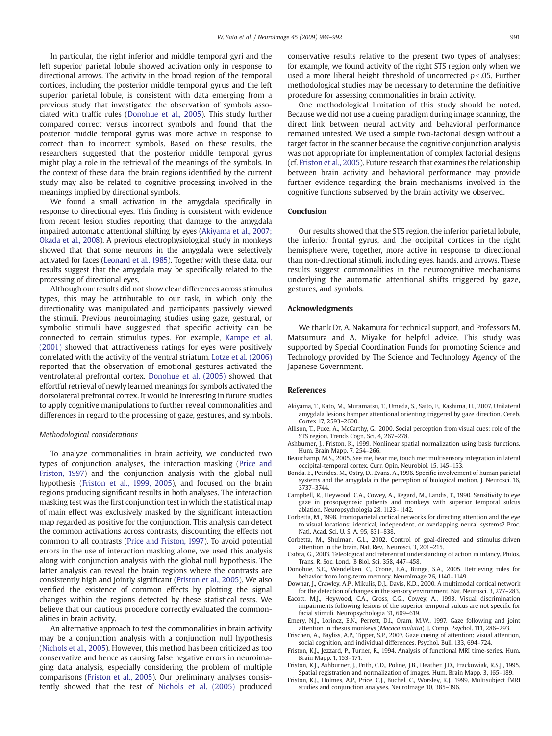<span id="page-7-0"></span>In particular, the right inferior and middle temporal gyri and the left superior parietal lobule showed activation only in response to directional arrows. The activity in the broad region of the temporal cortices, including the posterior middle temporal gyrus and the left superior parietal lobule, is consistent with data emerging from a previous study that investigated the observation of symbols associated with traffic rules (Donohue et al., 2005). This study further compared correct versus incorrect symbols and found that the posterior middle temporal gyrus was more active in response to correct than to incorrect symbols. Based on these results, the researchers suggested that the posterior middle temporal gyrus might play a role in the retrieval of the meanings of the symbols. In the context of these data, the brain regions identified by the current study may also be related to cognitive processing involved in the meanings implied by directional symbols.

We found a small activation in the amygdala specifically in response to directional eyes. This finding is consistent with evidence from recent lesion studies reporting that damage to the amygdala impaired automatic attentional shifting by eyes (Akiyama et al., 2007; Okada et al., 2008). A previous electrophysiological study in monkeys showed that that some neurons in the amygdala were selectively activated for faces [\(Leonard et al., 1985](#page-8-0)). Together with these data, our results suggest that the amygdala may be specifically related to the processing of directional eyes.

Although our results did not show clear differences across stimulus types, this may be attributable to our task, in which only the directionality was manipulated and participants passively viewed the stimuli. Previous neuroimaging studies using gaze, gestural, or symbolic stimuli have suggested that specific activity can be connected to certain stimulus types. For example, [Kampe et al.](#page-8-0) [\(2001\)](#page-8-0) showed that attractiveness ratings for eyes were positively correlated with the activity of the ventral striatum. [Lotze et al. \(2006\)](#page-8-0) reported that the observation of emotional gestures activated the ventrolateral prefrontal cortex. Donohue et al. (2005) showed that effortful retrieval of newly learned meanings for symbols activated the dorsolateral prefrontal cortex. It would be interesting in future studies to apply cognitive manipulations to further reveal commonalities and differences in regard to the processing of gaze, gestures, and symbols.

#### Methodological considerations

To analyze commonalities in brain activity, we conducted two types of conjunction analyses, the interaction masking [\(Price and](#page-8-0) [Friston, 1997\)](#page-8-0) and the conjunction analysis with the global null hypothesis (Friston et al., 1999, 2005), and focused on the brain regions producing significant results in both analyses. The interaction masking test was the first conjunction test in which the statistical map of main effect was exclusively masked by the significant interaction map regarded as positive for the conjunction. This analysis can detect the common activations across contrasts, discounting the effects not common to all contrasts [\(Price and Friston, 1997](#page-8-0)). To avoid potential errors in the use of interaction masking alone, we used this analysis along with conjunction analysis with the global null hypothesis. The latter analysis can reveal the brain regions where the contrasts are consistently high and jointly significant ([Friston et al., 2005\)](#page-8-0). We also verified the existence of common effects by plotting the signal changes within the regions detected by these statistical tests. We believe that our cautious procedure correctly evaluated the commonalities in brain activity.

An alternative approach to test the commonalities in brain activity may be a conjunction analysis with a conjunction null hypothesis [\(Nichols et al., 2005](#page-8-0)). However, this method has been criticized as too conservative and hence as causing false negative errors in neuroimaging data analysis, especially considering the problem of multiple comparisons ([Friston et al., 2005](#page-8-0)). Our preliminary analyses consistently showed that the test of [Nichols et al. \(2005\)](#page-8-0) produced conservative results relative to the present two types of analyses; for example, we found activity of the right STS region only when we used a more liberal height threshold of uncorrected  $p<0.05$ . Further methodological studies may be necessary to determine the definitive procedure for assessing commonalities in brain activity.

One methodological limitation of this study should be noted. Because we did not use a cueing paradigm during image scanning, the direct link between neural activity and behavioral performance remained untested. We used a simple two-factorial design without a target factor in the scanner because the cognitive conjunction analysis was not appropriate for implementation of complex factorial designs (cf. [Friston et al., 2005\)](#page-8-0). Future research that examines the relationship between brain activity and behavioral performance may provide further evidence regarding the brain mechanisms involved in the cognitive functions subserved by the brain activity we observed.

#### Conclusion

Our results showed that the STS region, the inferior parietal lobule, the inferior frontal gyrus, and the occipital cortices in the right hemisphere were, together, more active in response to directional than non-directional stimuli, including eyes, hands, and arrows. These results suggest commonalities in the neurocognitive mechanisms underlying the automatic attentional shifts triggered by gaze, gestures, and symbols.

#### Acknowledgments

We thank Dr. A. Nakamura for technical support, and Professors M. Matsumura and A. Miyake for helpful advice. This study was supported by Special Coordination Funds for promoting Science and Technology provided by The Science and Technology Agency of the Japanese Government.

#### References

- Akiyama, T., Kato, M., Muramatsu, T., Umeda, S., Saito, F., Kashima, H., 2007. Unilateral amygdala lesions hamper attentional orienting triggered by gaze direction. Cereb. Cortex 17, 2593–2600.
- Allison, T., Puce, A., McCarthy, G., 2000. Social perception from visual cues: role of the STS region. Trends Cogn. Sci. 4, 267–278.
- Ashburner, J., Friston, K., 1999. Nonlinear spatial normalization using basis functions. Hum. Brain Mapp. 7, 254–266.
- Beauchamp, M.S., 2005. See me, hear me, touch me: multisensory integration in lateral occipital-temporal cortex. Curr. Opin. Neurobiol. 15, 145–153.
- Bonda, E., Petrides, M., Ostry, D., Evans, A., 1996. Specific involvement of human parietal systems and the amygdala in the perception of biological motion. J. Neurosci. 16, 3737–3744.
- Campbell, R., Heywood, C.A., Cowey, A., Regard, M., Landis, T., 1990. Sensitivity to eye gaze in prosopagnosic patients and monkeys with superior temporal sulcus ablation. Neuropsychologia 28, 1123–1142.
- Corbetta, M., 1998. Frontoparietal cortical networks for directing attention and the eye to visual locations: identical, independent, or overlapping neural systems? Proc. Natl. Acad. Sci. U. S. A. 95, 831–838.
- Corbetta, M., Shulman, G.L., 2002. Control of goal-directed and stimulus-driven attention in the brain. Nat. Rev., Neurosci. 3, 201–215.
- Csibra, G., 2003. Teleological and referential understanding of action in infancy. Philos. Trans. R. Soc. Lond., B Biol. Sci. 358, 447–458.
- Donohue, S.E., Wendelken, C., Crone, E.A., Bunge, S.A., 2005. Retrieving rules for behavior from long-term memory. NeuroImage 26, 1140–1149.
- Downar, J., Crawley, A.P., Mikulis, D.J., Davis, K.D., 2000. A multimodal cortical network for the detection of changes in the sensory environment. Nat. Neurosci. 3, 277–283.
- Eacott, M.J., Heywood, C.A., Gross, C.G., Cowey, A., 1993. Visual discrimination impairments following lesions of the superior temporal sulcus are not specific for facial stimuli. Neuropsychologia 31, 609–619.
- Emery, N.J., Lorincz, E.N., Perrett, D.I., Oram, M.W., 1997. Gaze following and joint attention in rhesus monkeys (Macaca mulatta). J. Comp. Psychol. 111, 286–293.
- Frischen, A., Bayliss, A.P., Tipper, S.P., 2007. Gaze cueing of attention: visual attention, social cognition, and individual differences. Psychol. Bull. 133, 694–724.
- Friston, K.J., Jezzard, P., Turner, R., 1994. Analysis of functional MRI time-series. Hum. Brain Mapp. 1, 153–171.
- Friston, K.J., Ashburner, J., Frith, C.D., Poline, J.B., Heather, J.D., Frackowiak, R.S.J., 1995. Spatial registration and normalization of images. Hum. Brain Mapp. 3, 165–189.
- Friston, K.J., Holmes, A.P., Price, C.J., Buchel, C., Worsley, K.J., 1999. Multisubject fMRI studies and conjunction analyses. NeuroImage 10, 385–396.